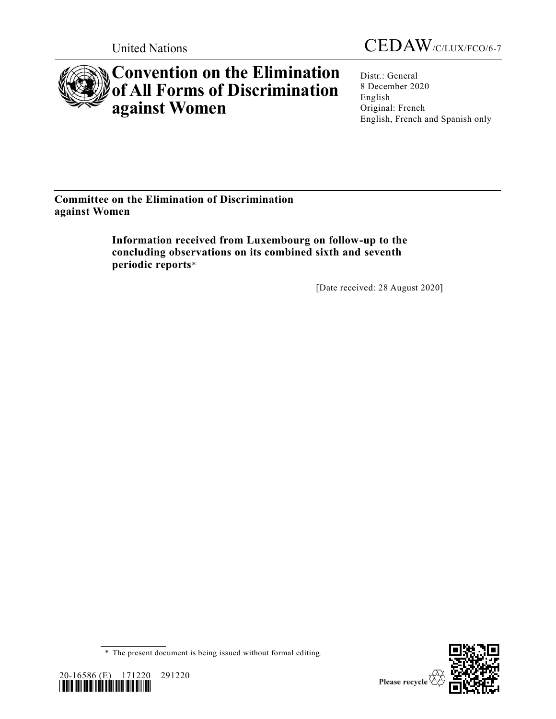



# **Convention on the Elimination of All Forms of Discrimination against Women**

Distr.: General 8 December 2020 English Original: French English, French and Spanish only

## **Committee on the Elimination of Discrimination against Women**

**Information received from Luxembourg on follow-up to the concluding observations on its combined sixth and seventh periodic reports**\*

[Date received: 28 August 2020]

\* The present document is being issued without formal editing.



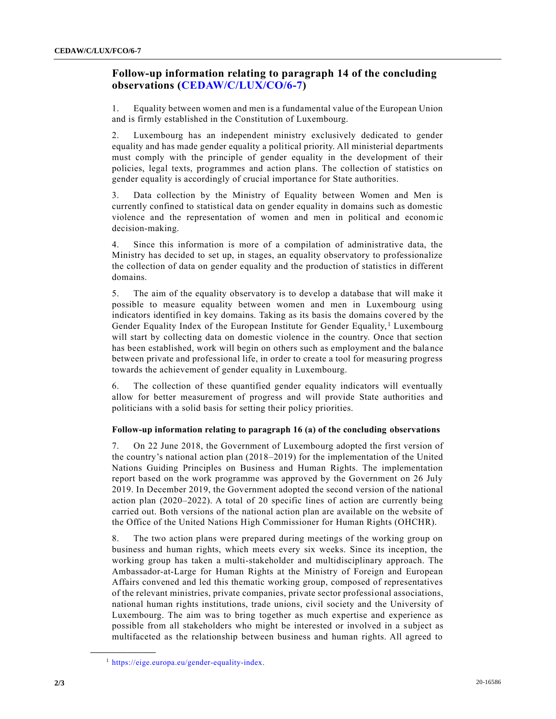### **Follow-up information relating to paragraph 14 of the concluding observations [\(CEDAW/C/LUX/CO/6-7\)](https://undocs.org/en/CEDAW/C/LUX/CO/6-7)**

1. Equality between women and men is a fundamental value of the European Union and is firmly established in the Constitution of Luxembourg.

2. Luxembourg has an independent ministry exclusively dedicated to gender equality and has made gender equality a political priority. All ministerial departments must comply with the principle of gender equality in the development of their policies, legal texts, programmes and action plans. The collection of statistics on gender equality is accordingly of crucial importance for State authorities.

3. Data collection by the Ministry of Equality between Women and Men is currently confined to statistical data on gender equality in domains such as domestic violence and the representation of women and men in political and economic decision-making.

4. Since this information is more of a compilation of administrative data, the Ministry has decided to set up, in stages, an equality observatory to professionalize the collection of data on gender equality and the production of statistics in different domains.

5. The aim of the equality observatory is to develop a database that will make it possible to measure equality between women and men in Luxembourg using indicators identified in key domains. Taking as its basis the domains cover ed by the Gender Equality Index of the European Institute for Gender Equality,  $\frac{1}{1}$  Luxembourg will start by collecting data on domestic violence in the country. Once that section has been established, work will begin on others such as employment and the bala nce between private and professional life, in order to create a tool for measuring progress towards the achievement of gender equality in Luxembourg.

6. The collection of these quantified gender equality indicators will eventually allow for better measurement of progress and will provide State authorities and politicians with a solid basis for setting their policy priorities.

#### **Follow-up information relating to paragraph 16 (a) of the concluding observations**

7. On 22 June 2018, the Government of Luxembourg adopted the first version of the country's national action plan (2018–2019) for the implementation of the United Nations Guiding Principles on Business and Human Rights. The implementation report based on the work programme was approved by the Government on 26 July 2019. In December 2019, the Government adopted the second version of the national action plan (2020–2022). A total of 20 specific lines of action are currently being carried out. Both versions of the national action plan are available on the website of the Office of the United Nations High Commissioner for Human Rights (OHCHR).

8. The two action plans were prepared during meetings of the working group on business and human rights, which meets every six weeks. Since its inception, the working group has taken a multi-stakeholder and multidisciplinary approach. The Ambassador-at-Large for Human Rights at the Ministry of Foreign and European Affairs convened and led this thematic working group, composed of representatives of the relevant ministries, private companies, private sector professional associations, national human rights institutions, trade unions, civil society and the University of Luxembourg. The aim was to bring together as much expertise and experience as possible from all stakeholders who might be interested or involved in a subject as multifaceted as the relationship between business and human rights. All agreed to

**\_\_\_\_\_\_\_\_\_\_\_\_\_\_\_\_\_\_**

<sup>1</sup> [https://eige.europa.eu/gender-equality-index.](https://eige.europa.eu/gender-equality-index)